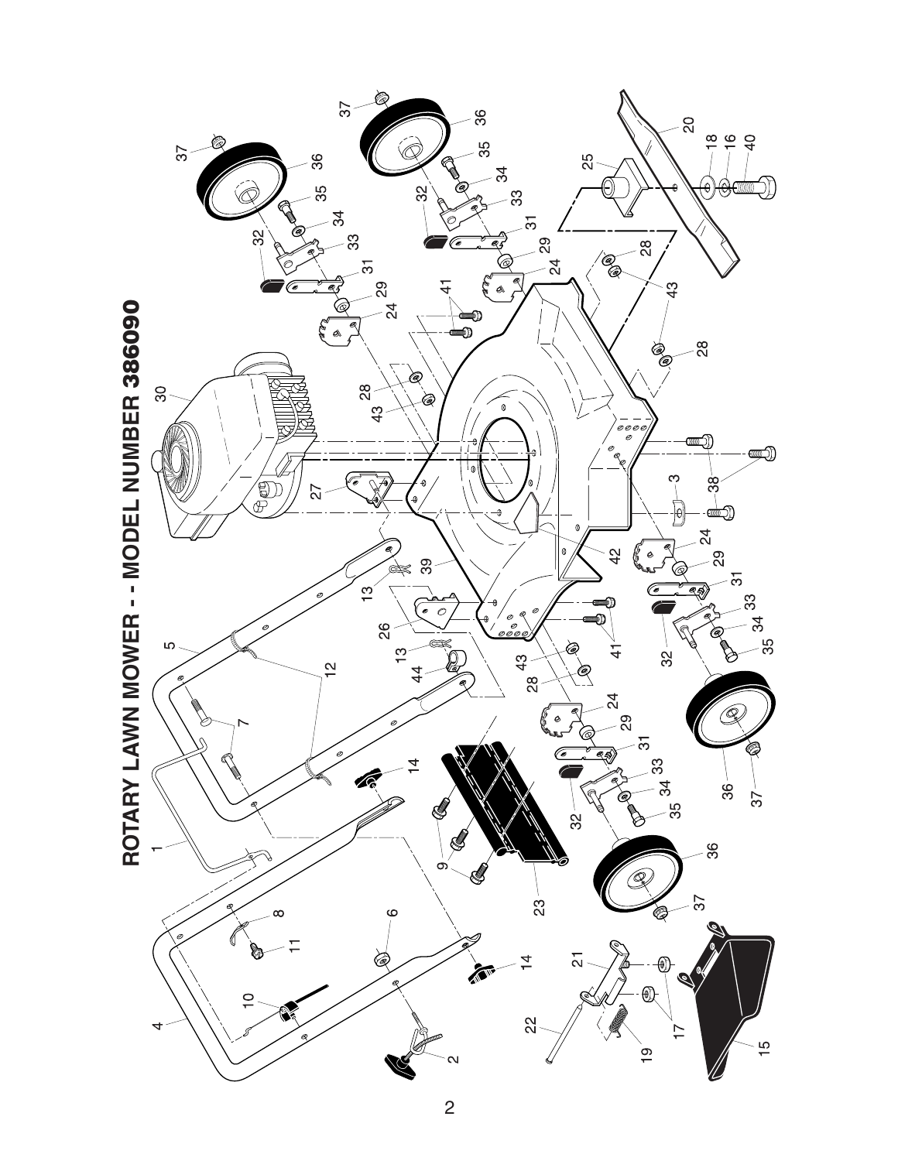